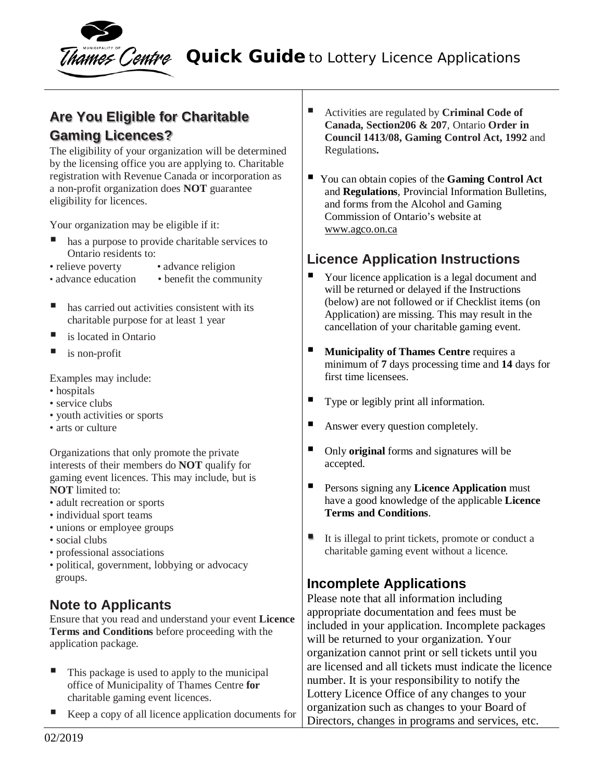

**Rames Centre Quick Guide** to Lottery Licence Applications

# **Are You Eligible for Charitable Gaming Licences?**

The eligibility of your organization will be determined by the licensing office you are applying to. Charitable registration with Revenue Canada or incorporation as a non-profit organization does **NOT** guarantee eligibility for licences.

Your organization may be eligible if it:

- has a purpose to provide charitable services to Ontario residents to:
- relieve poverty advance religion
- advance education benefit the community
- 
- has carried out activities consistent with its charitable purpose for at least 1 year
- is located in Ontario
- $\blacksquare$  is non-profit

Examples may include:

- hospitals
- service clubs
- youth activities or sports
- arts or culture

Organizations that only promote the private interests of their members do **NOT** qualify for gaming event licences. This may include, but is **NOT** limited to:

- adult recreation or sports
- individual sport teams
- unions or employee groups
- social clubs
- professional associations
- political, government, lobbying or advocacy groups.

### **Note to Applicants**

Ensure that you read and understand your event **Licence Terms and Conditions** before proceeding with the application package.

- $\blacksquare$  This package is used to apply to the municipal office of Municipality of Thames Centre **for** charitable gaming event licences.
- Keep a copy of all licence application documents for
- Activities are regulated by **Criminal Code of Canada, Section206 & 207**, Ontario **Order in Council 1413/08, Gaming Control Act, 1992** and Regulations**.**
- You can obtain copies of the **Gaming Control Act** and **Regulations***,* Provincial Information Bulletins, and forms from the Alcohol and Gaming Commission of Ontario's website at www.agco.on.ca

### **Licence Application Instructions**

- Your licence application is a legal document and will be returned or delayed if the Instructions (below) are not followed or if Checklist items (on Application) are missing. This may result in the cancellation of your charitable gaming event.
- **Municipality of Thames Centre requires a** minimum of **7** days processing time and **14** days for first time licensees.
- Type or legibly print all information.
- Answer every question completely.
- Only **original** forms and signatures will be accepted.
- **Persons signing any Licence Application** must have a good knowledge of the applicable **Licence Terms and Conditions**.
- It is illegal to print tickets, promote or conduct a charitable gaming event without a licence.

### **Incomplete Applications**

Please note that all information including appropriate documentation and fees must be included in your application. Incomplete packages will be returned to your organization. Your organization cannot print or sell tickets until you are licensed and all tickets must indicate the licence number. It is your responsibility to notify the Lottery Licence Office of any changes to your organization such as changes to your Board of Directors, changes in programs and services, etc.